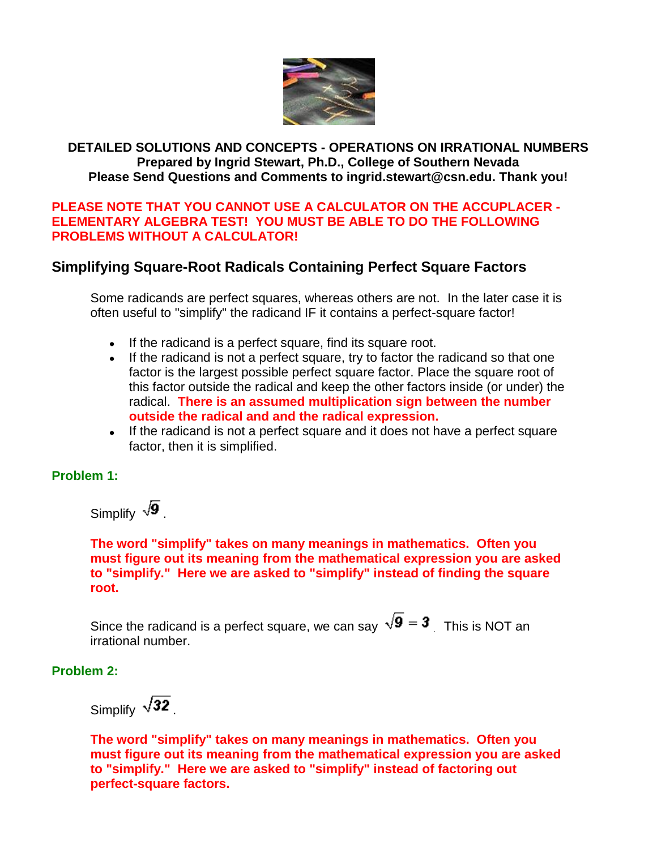

### **DETAILED SOLUTIONS AND CONCEPTS - OPERATIONS ON IRRATIONAL NUMBERS Prepared by Ingrid Stewart, Ph.D., College of Southern Nevada Please Send Questions and Comments to ingrid.stewart@csn.edu. Thank you!**

### **PLEASE NOTE THAT YOU CANNOT USE A CALCULATOR ON THE ACCUPLACER - ELEMENTARY ALGEBRA TEST! YOU MUST BE ABLE TO DO THE FOLLOWING PROBLEMS WITHOUT A CALCULATOR!**

## **Simplifying Square-Root Radicals Containing Perfect Square Factors**

Some radicands are perfect squares, whereas others are not. In the later case it is often useful to "simplify" the radicand IF it contains a perfect-square factor!

- If the radicand is a perfect square, find its square root.
- If the radicand is not a perfect square, try to factor the radicand so that one factor is the largest possible perfect square factor. Place the square root of this factor outside the radical and keep the other factors inside (or under) the radical. **There is an assumed multiplication sign between the number outside the radical and and the radical expression.**
- If the radicand is not a perfect square and it does not have a perfect square factor, then it is simplified.

### **Problem 1:**

Simplify  $\sqrt{9}$ .

**The word "simplify" takes on many meanings in mathematics. Often you must figure out its meaning from the mathematical expression you are asked to "simplify." Here we are asked to "simplify" instead of finding the square root.**

Since the radicand is a perfect square, we can say  $\sqrt{9} = 3$  This is NOT an irrational number.

**Problem 2:**

Simplify  $\sqrt{32}$ 

**The word "simplify" takes on many meanings in mathematics. Often you must figure out its meaning from the mathematical expression you are asked to "simplify." Here we are asked to "simplify" instead of factoring out perfect-square factors.**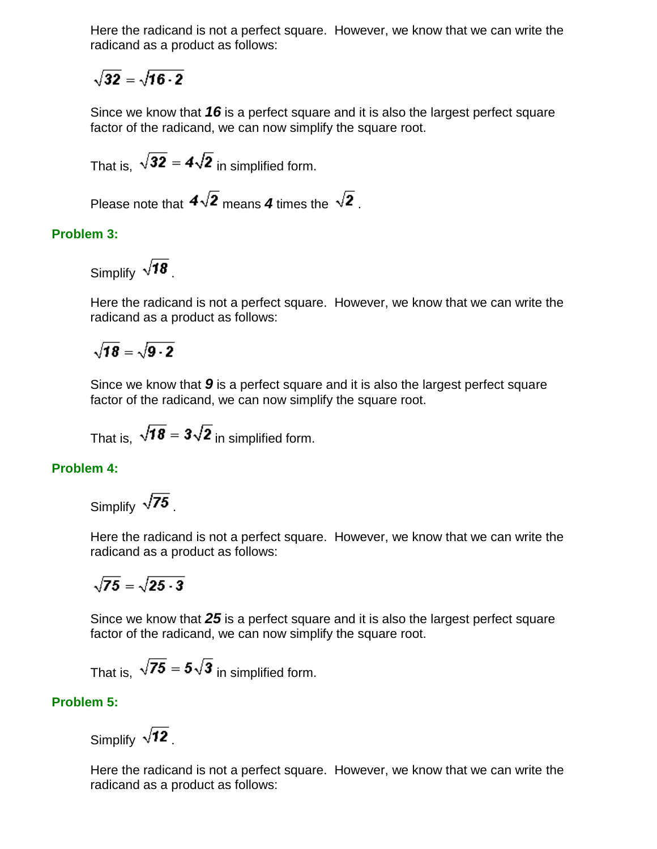Here the radicand is not a perfect square. However, we know that we can write the radicand as a product as follows:

$$
\sqrt{32}=\sqrt{16\cdot 2}
$$

Since we know that *16* is a perfect square and it is also the largest perfect square factor of the radicand, we can now simplify the square root.

That is,  $\sqrt{32} = 4\sqrt{2}$  in simplified form.

Please note that  $4\sqrt{2}$  means 4 times the  $\sqrt{2}$ .

### **Problem 3:**

Simplify  $\sqrt{18}$ .

Here the radicand is not a perfect square. However, we know that we can write the radicand as a product as follows:

# $\sqrt{18} = \sqrt{9.2}$

Since we know that *9* is a perfect square and it is also the largest perfect square factor of the radicand, we can now simplify the square root.

That is,  $\sqrt{18} = 3\sqrt{2}$  in simplified form.

### **Problem 4:**

Simplify  $\sqrt{75}$ .

Here the radicand is not a perfect square. However, we know that we can write the radicand as a product as follows:

$$
\sqrt{75}=\sqrt{25\cdot 3}
$$

Since we know that *25* is a perfect square and it is also the largest perfect square factor of the radicand, we can now simplify the square root.

That is,  $\sqrt{75} = 5\sqrt{3}$  in simplified form.

### **Problem 5:**

Simplify  $\sqrt{12}$ .

Here the radicand is not a perfect square. However, we know that we can write the radicand as a product as follows: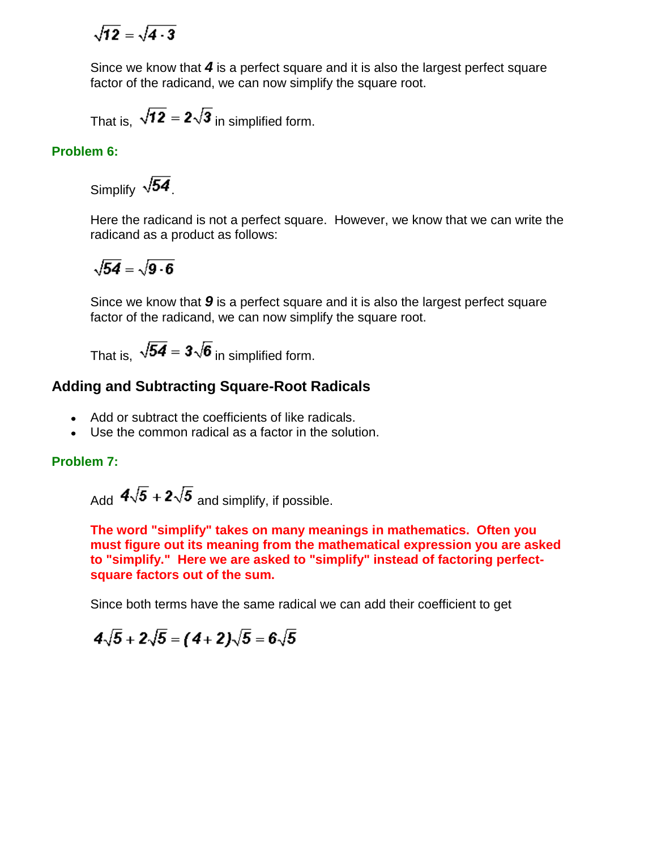$$
\sqrt{12}=\sqrt{4\cdot 3}
$$

Since we know that *4* is a perfect square and it is also the largest perfect square factor of the radicand, we can now simplify the square root.

That is,  $\sqrt{12} = 2\sqrt{3}$  in simplified form.

### **Problem 6:**

Simplify  $\sqrt{54}$ .

Here the radicand is not a perfect square. However, we know that we can write the radicand as a product as follows:

$$
\sqrt{54}=\sqrt{9\cdot 6}
$$

Since we know that *9* is a perfect square and it is also the largest perfect square factor of the radicand, we can now simplify the square root.

That is,  $\sqrt{54} = 3\sqrt{6}$  in simplified form.

### **Adding and Subtracting Square-Root Radicals**

- Add or subtract the coefficients of like radicals.
- Use the common radical as a factor in the solution.

### **Problem 7:**

Add  $4\sqrt{5}$  +  $2\sqrt{5}$  and simplify, if possible.

**The word "simplify" takes on many meanings in mathematics. Often you must figure out its meaning from the mathematical expression you are asked to "simplify." Here we are asked to "simplify" instead of factoring perfectsquare factors out of the sum.**

Since both terms have the same radical we can add their coefficient to get

$$
4\sqrt{5} + 2\sqrt{5} = (4+2)\sqrt{5} = 6\sqrt{5}
$$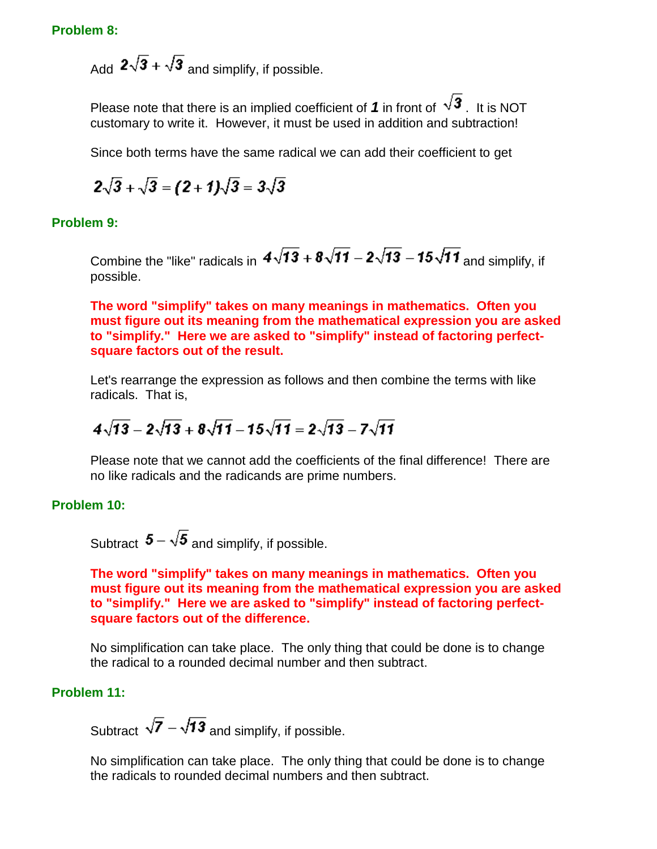Add  $2\sqrt{3} + \sqrt{3}$  and simplify, if possible.

Please note that there is an implied coefficient of 1 in front of  $\sqrt{3}$ . It is NOT customary to write it. However, it must be used in addition and subtraction!

Since both terms have the same radical we can add their coefficient to get

$$
2\sqrt{3} + \sqrt{3} = (2 + 1)\sqrt{3} = 3\sqrt{3}
$$

**Problem 9:**

Combine the "like" radicals in  $4\sqrt{13} + 8\sqrt{11} - 2\sqrt{13} - 15\sqrt{11}$  and simplify, if possible.

**The word "simplify" takes on many meanings in mathematics. Often you must figure out its meaning from the mathematical expression you are asked to "simplify." Here we are asked to "simplify" instead of factoring perfectsquare factors out of the result.**

Let's rearrange the expression as follows and then combine the terms with like radicals. That is,

$$
4\sqrt{13}-2\sqrt{13}+8\sqrt{11}-15\sqrt{11}=2\sqrt{13}-7\sqrt{11}
$$

Please note that we cannot add the coefficients of the final difference! There are no like radicals and the radicands are prime numbers.

### **Problem 10:**

Subtract  $\mathbf{5} - \sqrt{\mathbf{5}}$  and simplify, if possible.

### **The word "simplify" takes on many meanings in mathematics. Often you must figure out its meaning from the mathematical expression you are asked to "simplify." Here we are asked to "simplify" instead of factoring perfectsquare factors out of the difference.**

No simplification can take place. The only thing that could be done is to change the radical to a rounded decimal number and then subtract.

### **Problem 11:**

Subtract  $\sqrt{7} - \sqrt{13}$  and simplify, if possible.

No simplification can take place. The only thing that could be done is to change the radicals to rounded decimal numbers and then subtract.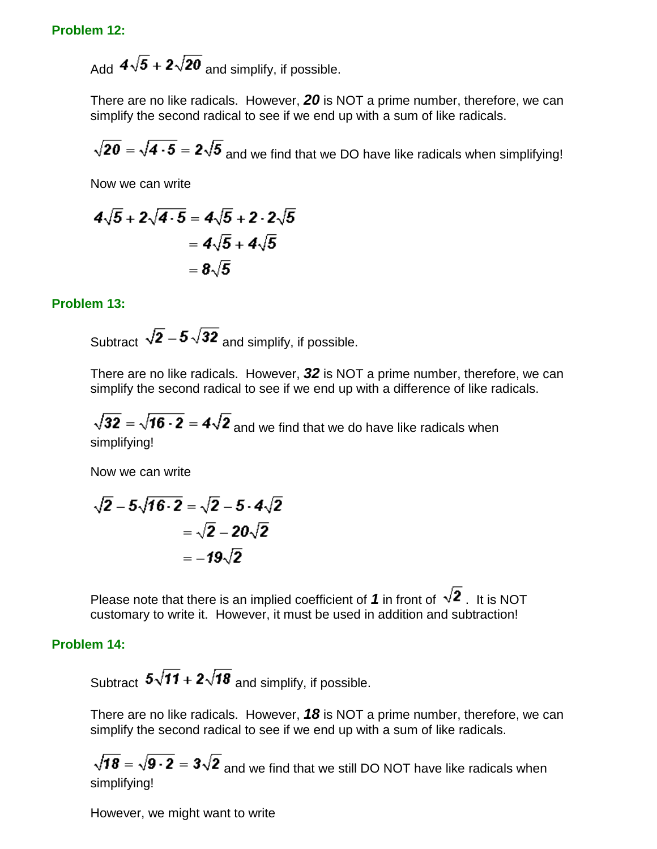#### **Problem 12:**

Add  $4\sqrt{5} + 2\sqrt{20}$  and simplify, if possible.

There are no like radicals. However, *20* is NOT a prime number, therefore, we can simplify the second radical to see if we end up with a sum of like radicals.

 $\sqrt{20} = \sqrt{4 \cdot 5} = 2\sqrt{5}$  and we find that we DO have like radicals when simplifying!

Now we can write

$$
4\sqrt{5} + 2\sqrt{4\cdot 5} = 4\sqrt{5} + 2\cdot 2\sqrt{5}
$$

$$
= 4\sqrt{5} + 4\sqrt{5}
$$

$$
= 8\sqrt{5}
$$

**Problem 13:**

Subtract  $\sqrt{2} - 5\sqrt{32}$  and simplify, if possible.

There are no like radicals. However, *32* is NOT a prime number, therefore, we can simplify the second radical to see if we end up with a difference of like radicals.

 $\sqrt{32} = \sqrt{16 \cdot 2} = 4\sqrt{2}$  and we find that we do have like radicals when simplifying!

Now we can write

$$
\sqrt{2} - 5\sqrt{16 \cdot 2} = \sqrt{2} - 5 \cdot 4\sqrt{2} \\
 = \sqrt{2} - 20\sqrt{2} \\
 = -19\sqrt{2}
$$

Please note that there is an implied coefficient of 1 in front of  $\sqrt{2}$ . It is NOT customary to write it. However, it must be used in addition and subtraction!

#### **Problem 14:**

Subtract  $5\sqrt{11} + 2\sqrt{18}$  and simplify, if possible.

There are no like radicals. However, *18* is NOT a prime number, therefore, we can simplify the second radical to see if we end up with a sum of like radicals.

 $\sqrt{18} = \sqrt{9 \cdot 2} = 3\sqrt{2}$  and we find that we still DO NOT have like radicals when simplifying!

However, we might want to write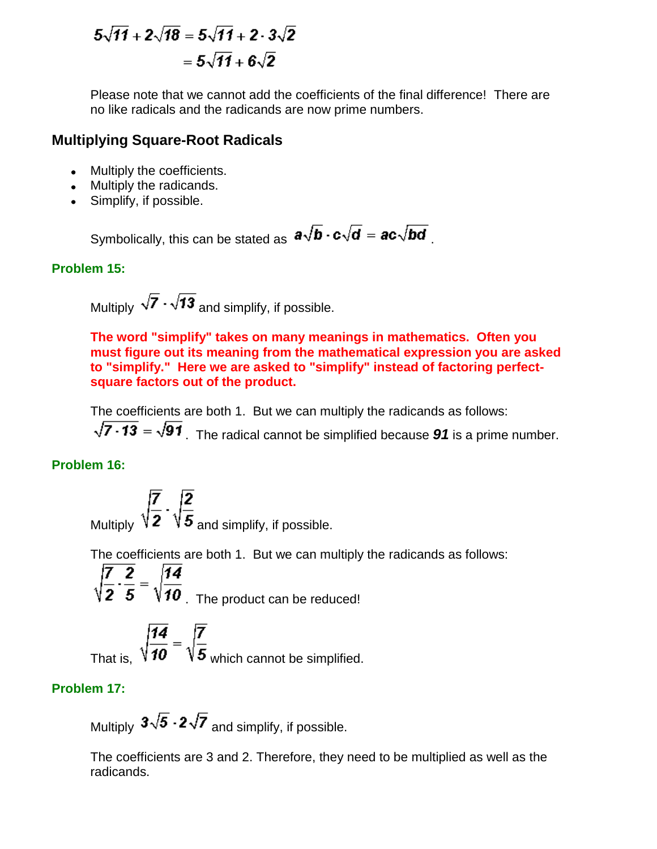$$
5\sqrt{11} + 2\sqrt{18} = 5\sqrt{11} + 2 \cdot 3\sqrt{2} = 5\sqrt{11} + 6\sqrt{2}
$$

Please note that we cannot add the coefficients of the final difference! There are no like radicals and the radicands are now prime numbers.

### **Multiplying Square-Root Radicals**

- Multiply the coefficients.
- Multiply the radicands.
- Simplify, if possible.

Symbolically, this can be stated as  $a\sqrt{b} \cdot c\sqrt{d} = ac\sqrt{bd}$ .

### **Problem 15:**

Multiply  $\sqrt{7} \cdot \sqrt{13}$  and simplify, if possible.

**The word "simplify" takes on many meanings in mathematics. Often you must figure out its meaning from the mathematical expression you are asked to "simplify." Here we are asked to "simplify" instead of factoring perfectsquare factors out of the product.**

The coefficients are both 1. But we can multiply the radicands as follows:

 $\sqrt{7 \cdot 13} = \sqrt{91}$ . The radical cannot be simplified because **91** is a prime number.

### **Problem 16:**

,  $\sqrt{\frac{7}{2}} \cdot \sqrt{\frac{2}{5}}$  and simplify, if possible.

The coefficients are both 1. But we can multiply the radicands as follows:

 $\sqrt{\frac{7}{2} \cdot \frac{2}{5}} = \sqrt{\frac{14}{10}}$ . The product can be reduced!

t is,  $\sqrt{\frac{14}{10}} = \sqrt{\frac{7}{5}}$  which cannot be simplified.

### **Problem 17:**

Multiply  $3\sqrt{5} \cdot 2\sqrt{7}$  and simplify, if possible.

The coefficients are 3 and 2. Therefore, they need to be multiplied as well as the radicands.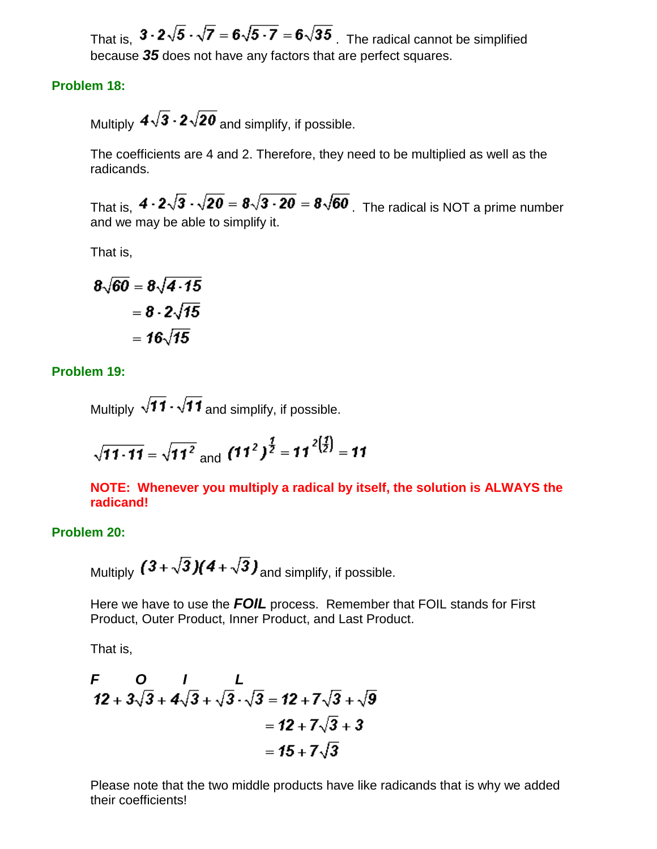That is,  $3 \cdot 2\sqrt{5} \cdot \sqrt{7} = 6\sqrt{5 \cdot 7} = 6\sqrt{35}$ . The radical cannot be simplified because *35* does not have any factors that are perfect squares.

#### **Problem 18:**

Multiply  $4\sqrt{3} \cdot 2\sqrt{20}$  and simplify, if possible.

The coefficients are 4 and 2. Therefore, they need to be multiplied as well as the radicands.

That is,  $4 \cdot 2\sqrt{3} \cdot \sqrt{20} = 8\sqrt{3 \cdot 20} = 8\sqrt{60}$ . The radical is NOT a prime number and we may be able to simplify it.

That is,

$$
8\sqrt{60} = 8\sqrt{4.15}
$$

$$
= 8.2\sqrt{15}
$$

$$
= 16\sqrt{15}
$$

**Problem 19:**

Multiply  $\sqrt{11} \cdot \sqrt{11}$  and simplify, if possible.

$$
\sqrt{11 \cdot 11} = \sqrt{11^2} \text{ and } (11^2)^{\frac{1}{2}} = 11^{2 \left(\frac{1}{2}\right)} = 11
$$

**NOTE: Whenever you multiply a radical by itself, the solution is ALWAYS the radicand!**

#### **Problem 20:**

Multiply  $(3+\sqrt{3})(4+\sqrt{3})$  and simplify, if possible.

Here we have to use the *FOIL* process. Remember that FOIL stands for First Product, Outer Product, Inner Product, and Last Product.

That is,

$$
F = O I L
$$
  
12 + 3 $\sqrt{3}$  + 4 $\sqrt{3}$  +  $\sqrt{3}$  -  $\sqrt{3}$  = 12 + 7 $\sqrt{3}$  +  $\sqrt{9}$   
= 12 + 7 $\sqrt{3}$  + 3  
= 15 + 7 $\sqrt{3}$ 

Please note that the two middle products have like radicands that is why we added their coefficients!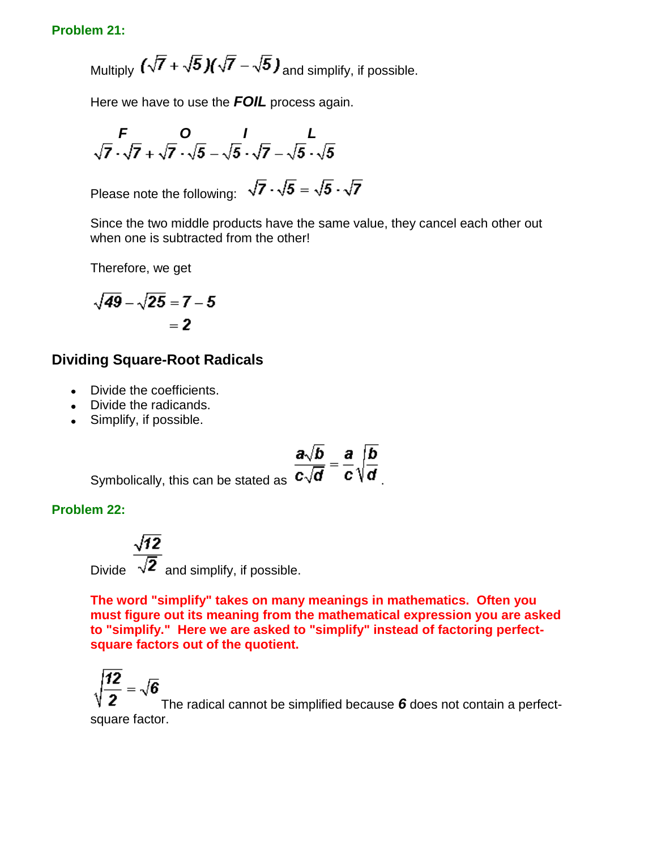### **Problem 21:**

Multiply  $\left(\sqrt{7} + \sqrt{5}\right)\left(\sqrt{7} - \sqrt{5}\right)$  and simplify, if possible.

Here we have to use the *FOIL* process again.

$$
\begin{array}{cc}\nF & O & I & L \\
\sqrt{7} \cdot \sqrt{7} + \sqrt{7} \cdot \sqrt{5} - \sqrt{5} \cdot \sqrt{7} - \sqrt{5} \cdot \sqrt{5}\n\end{array}
$$

Please note the following:  $\sqrt{7} \cdot \sqrt{5} = \sqrt{5} \cdot \sqrt{7}$ 

Since the two middle products have the same value, they cancel each other out when one is subtracted from the other!

Therefore, we get

$$
\sqrt{49}-\sqrt{25}=7-5
$$

$$
=2
$$

### **Dividing Square-Root Radicals**

- Divide the coefficients.
- Divide the radicands.
- Simplify, if possible.

$$
\frac{a\sqrt{b}}{c\sqrt{d}}=\frac{a}{c}\sqrt{\frac{b}{d}}
$$

Symbolically, this can be stated as  $C_V$ 

**Problem 22:**

 $\sqrt{12}$ Divide  $\overline{\sqrt{2}}$  and simplify, if possible.

**The word "simplify" takes on many meanings in mathematics. Often you must figure out its meaning from the mathematical expression you are asked to "simplify." Here we are asked to "simplify" instead of factoring perfectsquare factors out of the quotient.**

$$
\sqrt{\frac{12}{2}} = \sqrt{6}
$$

The radical cannot be simplified because *6* does not contain a perfectsquare factor.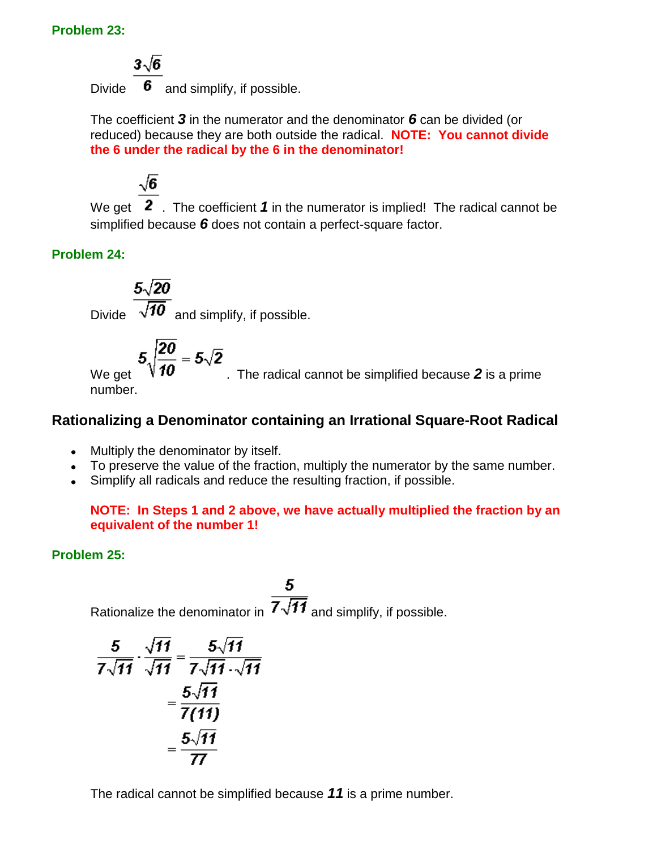### **Problem 23:**

 $3\sqrt{6}$ 

Divide  $\overline{6}$  and simplify, if possible.

The coefficient *3* in the numerator and the denominator *6* can be divided (or reduced) because they are both outside the radical. **NOTE: You cannot divide the 6 under the radical by the 6 in the denominator!**

 $\sqrt{6}$ 

We get 2. The coefficient 1 in the numerator is implied! The radical cannot be simplified because *6* does not contain a perfect-square factor.

**Problem 24:**

 $\frac{5\sqrt{20}}{\sqrt{10}}$  and simplify, if possible.

We get  $5\sqrt{\frac{20}{10}} = 5\sqrt{2}$ . The radical cannot be simplified because 2 is a prime number.

# **Rationalizing a Denominator containing an Irrational Square-Root Radical**

- Multiply the denominator by itself.
- To preserve the value of the fraction, multiply the numerator by the same number.
- Simplify all radicals and reduce the resulting fraction, if possible.

**NOTE: In Steps 1 and 2 above, we have actually multiplied the fraction by an equivalent of the number 1!**

**Problem 25:**

Rationalize the denominator in  $\overline{7\sqrt{11}}$  and simplify, if possible.

$$
\frac{5}{7\sqrt{11}} \cdot \frac{\sqrt{11}}{\sqrt{11}} = \frac{5\sqrt{11}}{7\sqrt{11}\cdot\sqrt{11}} = \frac{5\sqrt{11}}{7(11)} = \frac{5\sqrt{11}}{7}
$$

The radical cannot be simplified because *11* is a prime number.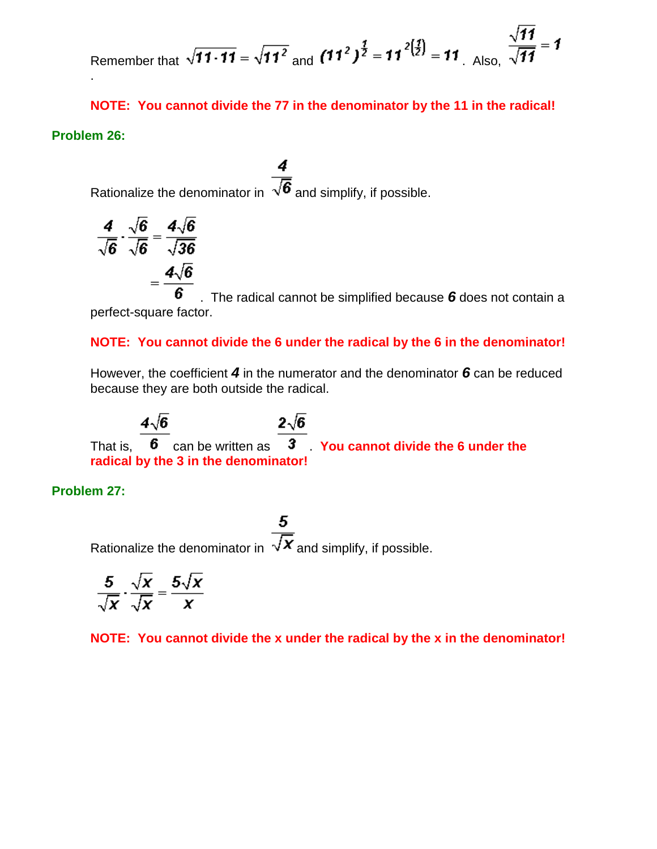Remember that 
$$
\sqrt{11 \cdot 11} = \sqrt{11^2}
$$
 and  $(11^2)^{\frac{1}{2}} = 11^{2(\frac{1}{2})} = 11$ . Also,  $\frac{\sqrt{11}}{\sqrt{11}} = 1$ 

**NOTE: You cannot divide the 77 in the denominator by the 11 in the radical! Problem 26:**

4 Rationalize the denominator in  $\overline{\sqrt{6}}$  and simplify, if possible.

$$
\frac{4}{\sqrt{6}} \cdot \frac{\sqrt{6}}{\sqrt{6}} = \frac{4\sqrt{6}}{\sqrt{36}}
$$

$$
= \frac{4\sqrt{6}}{6}
$$

. The radical cannot be simplified because *6* does not contain a perfect-square factor.

### **NOTE: You cannot divide the 6 under the radical by the 6 in the denominator!**

However, the coefficient *4* in the numerator and the denominator *6* can be reduced because they are both outside the radical.

 $4\sqrt{6}$  $2\sqrt{6}$ That is,  $\overline{6}$  can be written as  $\overline{3}$  You cannot divide the 6 under the **radical by the 3 in the denominator!**

**Problem 27:**

5 Rationalize the denominator in  $\overline{\sqrt{\mathbf{x}}}$  and simplify, if possible.

$$
\frac{5}{\sqrt{x}} \cdot \frac{\sqrt{x}}{\sqrt{x}} = \frac{5\sqrt{x}}{x}
$$

**NOTE: You cannot divide the x under the radical by the x in the denominator!**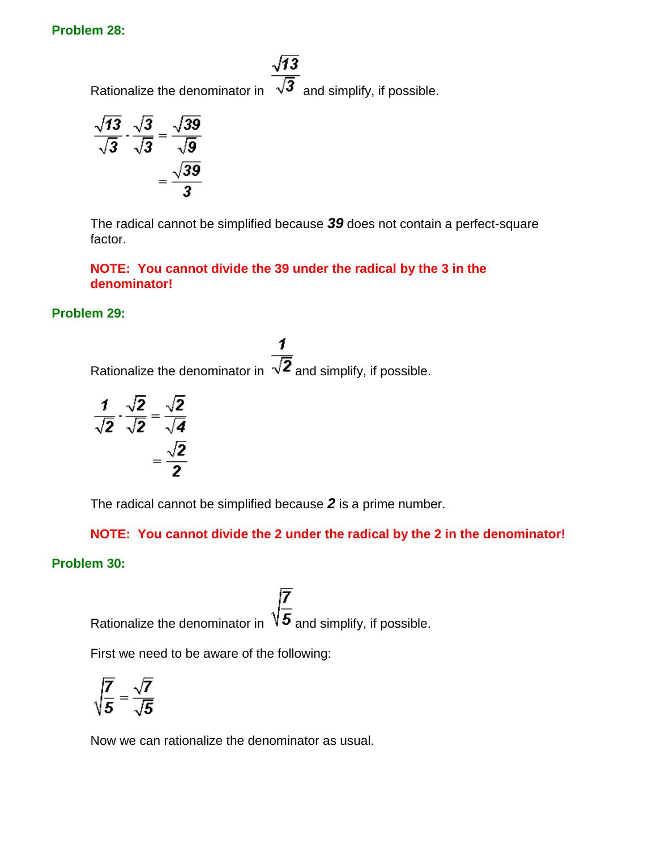#### **Problem 28:**

 $\sqrt{13}$ Rationalize the denominator in  $\overline{\sqrt{3}}$  and simplify, if possible.

$$
\frac{\sqrt{13}}{\sqrt{3}} \cdot \frac{\sqrt{3}}{\sqrt{3}} = \frac{\sqrt{39}}{\sqrt{9}}
$$

$$
= \frac{\sqrt{39}}{3}
$$

The radical cannot be simplified because *39* does not contain a perfect-square factor.

**NOTE: You cannot divide the 39 under the radical by the 3 in the denominator!**

### **Problem 29:**

1 Rationalize the denominator in  $\sqrt{2}$  and simplify, if possible.

$$
\frac{1}{\sqrt{2}} \cdot \frac{\sqrt{2}}{\sqrt{2}} = \frac{\sqrt{2}}{\sqrt{4}}
$$

$$
= \frac{\sqrt{2}}{2}
$$

The radical cannot be simplified because *2* is a prime number.

**NOTE: You cannot divide the 2 under the radical by the 2 in the denominator!**

### **Problem 30:**

Rationalize the denominator in  $\sqrt{\frac{7}{5}}$  and simplify, if possible.

First we need to be aware of the following:

$$
\sqrt{\frac{7}{5}} = \frac{\sqrt{7}}{\sqrt{5}}
$$

Now we can rationalize the denominator as usual.